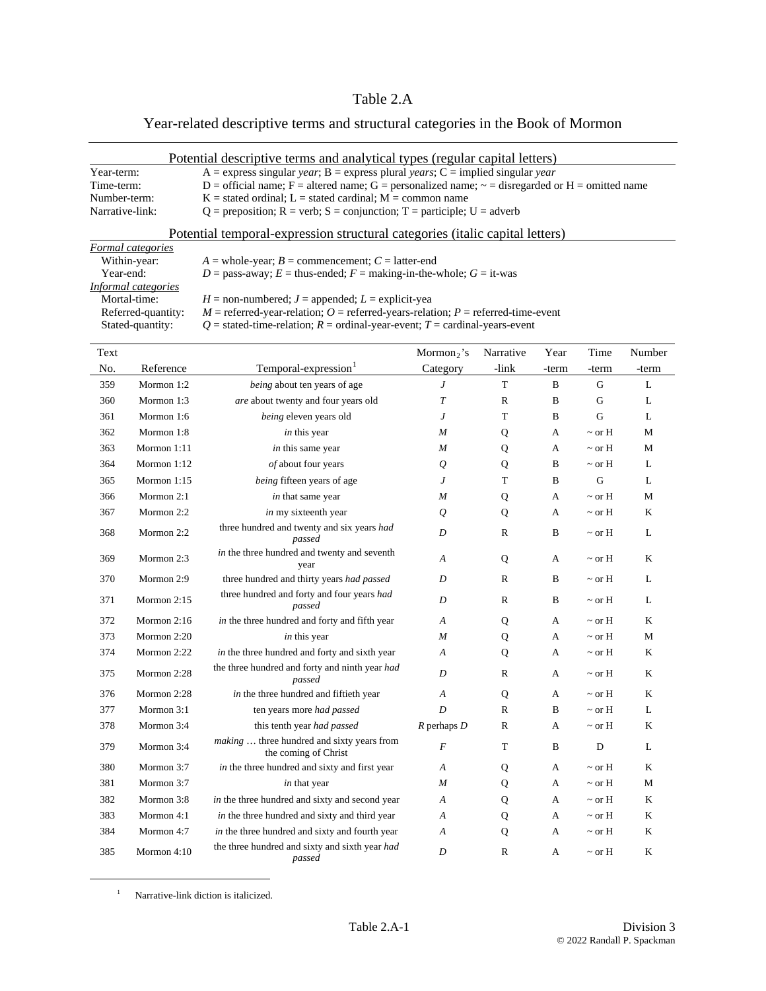## Table 2.A

## Year-related descriptive terms and structural categories in the Book of Mormon

| Potential descriptive terms and analytical types (regular capital letters) |                                                                                                      |  |  |  |  |
|----------------------------------------------------------------------------|------------------------------------------------------------------------------------------------------|--|--|--|--|
| Year-term:                                                                 | A = express singular year; B = express plural years; C = implied singular year                       |  |  |  |  |
| Time-term:                                                                 | D = official name; F = altered name; G = personalized name; $\sim$ = disregarded or H = omitted name |  |  |  |  |
| Number-term:                                                               | $K =$ stated ordinal; L = stated cardinal; M = common name                                           |  |  |  |  |
| Narrative-link:                                                            | $Q =$ preposition; R = verb; S = conjunction; T = participle; U = adverb                             |  |  |  |  |

| Potential temporal-expression structural categories (italic capital letters) |  |
|------------------------------------------------------------------------------|--|
|                                                                              |  |

| Formal categories   |                                                                                    |
|---------------------|------------------------------------------------------------------------------------|
| Within-year:        | $A =$ whole-year; $B =$ commencement; $C =$ latter-end                             |
| Year-end:           | $D =$ pass-away; $E =$ thus-ended; $F =$ making-in-the-whole; $G =$ it-was         |
| Informal categories |                                                                                    |
| Mortal-time:        | $H =$ non-numbered; $J =$ appended; $L =$ explicit-yea                             |
| Referred-quantity:  | $M$ = referred-year-relation; O = referred-years-relation; P = referred-time-event |
| Stated-quantity:    | $Q =$ stated-time-relation; $R =$ ordinal-year-event; $T =$ cardinal-years-event   |
|                     |                                                                                    |

| Text |               |                                                                    | $Mormon2$ 's     | Narrative    | Year         | Time        | Number       |
|------|---------------|--------------------------------------------------------------------|------------------|--------------|--------------|-------------|--------------|
| No.  | Reference     | Temporal-expression                                                | Category         | -link        | -term        | -term       | -term        |
| 359  | Mormon 1:2    | being about ten years of age                                       | J                | $\mathbf T$  | $\, {\bf B}$ | ${\bf G}$   | $\mathbf L$  |
| 360  | Mormon 1:3    | are about twenty and four years old                                | T                | $\mathbb{R}$ | $\, {\bf B}$ | G           | L            |
| 361  | Mormon 1:6    | being eleven years old                                             | J                | T            | $\mathbf B$  | G           | L            |
| 362  | Mormon 1:8    | in this year                                                       | M                | Q            | A            | $\sim$ or H | M            |
| 363  | Mormon 1:11   | in this same year                                                  | M                | Q            | A            | $\sim$ or H | M            |
| 364  | Mormon 1:12   | of about four years                                                | $\varrho$        | Q            | B            | $\sim$ or H | L            |
| 365  | Mormon $1:15$ | being fifteen years of age                                         | J                | T            | B            | G           | L            |
| 366  | Mormon 2:1    | in that same year                                                  | $\overline{M}$   | Q            | А            | $\sim$ or H | M            |
| 367  | Mormon 2:2    | in my sixteenth year                                               | $\mathcal{Q}$    | Q            | А            | $\sim$ or H | K            |
| 368  | Mormon 2:2    | three hundred and twenty and six years had<br>passed               | $\boldsymbol{D}$ | $\mathbb{R}$ | $\, {\bf B}$ | $\sim$ or H | L            |
| 369  | Mormon 2:3    | in the three hundred and twenty and seventh<br>year                | $\overline{A}$   | Q            | A            | $\sim$ or H | K            |
| 370  | Mormon 2:9    | three hundred and thirty years had passed                          | D                | $\mathbb{R}$ | $\, {\bf B}$ | $\sim$ or H | L            |
| 371  | Mormon $2:15$ | three hundred and forty and four years had<br>passed               | D                | R            | B            | $\sim$ or H | $\mathbf{L}$ |
| 372  | Mormon 2:16   | in the three hundred and forty and fifth year                      | A                | Q            | A            | $\sim$ or H | K            |
| 373  | Mormon 2:20   | in this year                                                       | M                | Q            | A            | $\sim$ or H | M            |
| 374  | Mormon 2:22   | in the three hundred and forty and sixth year                      | A                | Q            | A            | $\sim$ or H | K            |
| 375  | Mormon 2:28   | the three hundred and forty and ninth year had<br>passed           | D                | $\mathbb{R}$ | A            | $\sim$ or H | K            |
| 376  | Mormon 2:28   | in the three hundred and fiftieth year                             | A                | Q            | А            | $\sim$ or H | K            |
| 377  | Mormon 3:1    | ten years more had passed                                          | D                | $\mathbb{R}$ | B            | $\sim$ or H | L            |
| 378  | Mormon 3:4    | this tenth year had passed                                         | $R$ perhaps $D$  | R            | A            | $\sim$ or H | K            |
| 379  | Mormon 3:4    | making  three hundred and sixty years from<br>the coming of Christ | $\boldsymbol{F}$ | $\mathbf T$  | B            | D           | L            |
| 380  | Mormon 3:7    | in the three hundred and sixty and first year                      | A                | Q            | A            | $\sim$ or H | K            |
| 381  | Mormon 3:7    | in that year                                                       | M                | Q            | A            | $\sim$ or H | M            |
| 382  | Mormon 3:8    | in the three hundred and sixty and second year                     | A                | Q            | A            | $\sim$ or H | K            |
| 383  | Mormon 4:1    | in the three hundred and sixty and third year                      | A                | Q            | А            | $\sim$ or H | $\bf K$      |
| 384  | Mormon 4:7    | in the three hundred and sixty and fourth year                     | A                | Q            | A            | $\sim$ or H | K            |
| 385  | Mormon 4:10   | the three hundred and sixty and sixth year had<br>passed           | D                | $\mathbb{R}$ | A            | $\sim$ or H | K            |

<sup>1</sup> Narrative-link diction is italicized.

<span id="page-0-0"></span>